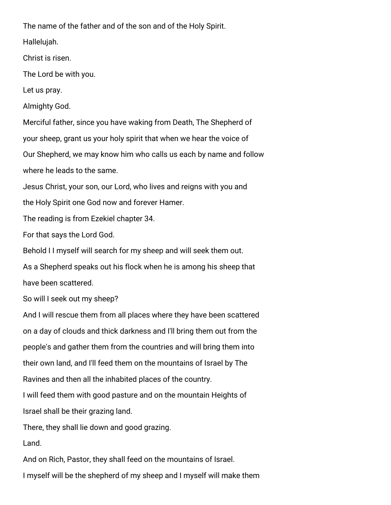The name of the father and of the son and of the Holy Spirit.

Hallelujah.

Christ is risen.

The Lord be with you.

Let us pray.

Almighty God.

Merciful father, since you have waking from Death, The Shepherd of your sheep, grant us your holy spirit that when we hear the voice of Our Shepherd, we may know him who calls us each by name and follow where he leads to the same.

Jesus Christ, your son, our Lord, who lives and reigns with you and

the Holy Spirit one God now and forever Hamer.

The reading is from Ezekiel chapter 34.

For that says the Lord God.

Behold I I myself will search for my sheep and will seek them out.

As a Shepherd speaks out his flock when he is among his sheep that have been scattered.

So will I seek out my sheep?

And I will rescue them from all places where they have been scattered on a day of clouds and thick darkness and I'll bring them out from the people's and gather them from the countries and will bring them into their own land, and I'll feed them on the mountains of Israel by The Ravines and then all the inhabited places of the country.

I will feed them with good pasture and on the mountain Heights of

Israel shall be their grazing land.

There, they shall lie down and good grazing.

Land.

And on Rich, Pastor, they shall feed on the mountains of Israel. I myself will be the shepherd of my sheep and I myself will make them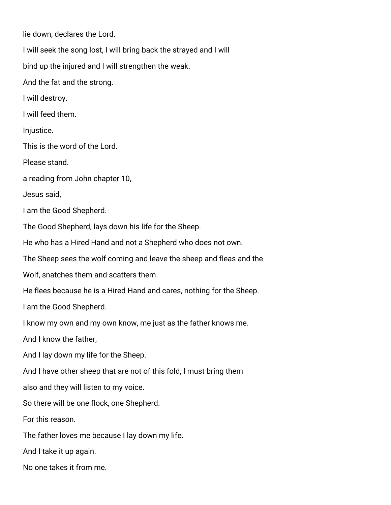lie down, declares the Lord.

I will seek the song lost, I will bring back the strayed and I will

bind up the injured and I will strengthen the weak.

And the fat and the strong.

I will destroy.

I will feed them.

Injustice.

This is the word of the Lord.

Please stand.

a reading from John chapter 10,

Jesus said,

I am the Good Shepherd.

The Good Shepherd, lays down his life for the Sheep.

He who has a Hired Hand and not a Shepherd who does not own.

The Sheep sees the wolf coming and leave the sheep and fleas and the

Wolf, snatches them and scatters them.

He flees because he is a Hired Hand and cares, nothing for the Sheep.

I am the Good Shepherd.

I know my own and my own know, me just as the father knows me.

And I know the father,

And I lay down my life for the Sheep.

And I have other sheep that are not of this fold, I must bring them

also and they will listen to my voice.

So there will be one flock, one Shepherd.

For this reason.

The father loves me because I lay down my life.

And I take it up again.

No one takes it from me.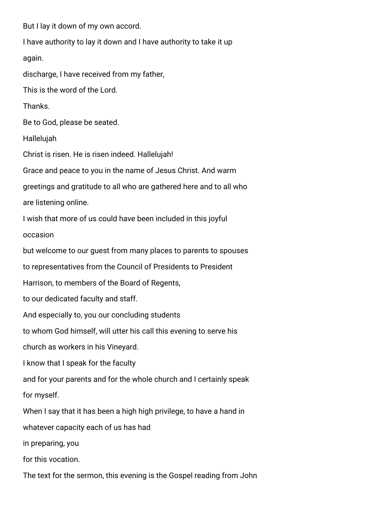But I lay it down of my own accord.

I have authority to lay it down and I have authority to take it up

again.

discharge, I have received from my father,

This is the word of the Lord.

Thanks.

Be to God, please be seated.

Hallelujah

Christ is risen. He is risen indeed. Hallelujah!

Grace and peace to you in the name of Jesus Christ. And warm

greetings and gratitude to all who are gathered here and to all who

are listening online.

I wish that more of us could have been included in this joyful

occasion

but welcome to our guest from many places to parents to spouses

to representatives from the Council of Presidents to President

Harrison, to members of the Board of Regents,

to our dedicated faculty and staff.

And especially to, you our concluding students

to whom God himself, will utter his call this evening to serve his

church as workers in his Vineyard.

I know that I speak for the faculty

and for your parents and for the whole church and I certainly speak

for myself.

When I say that it has been a high high privilege, to have a hand in

whatever capacity each of us has had

in preparing, you

for this vocation.

The text for the sermon, this evening is the Gospel reading from John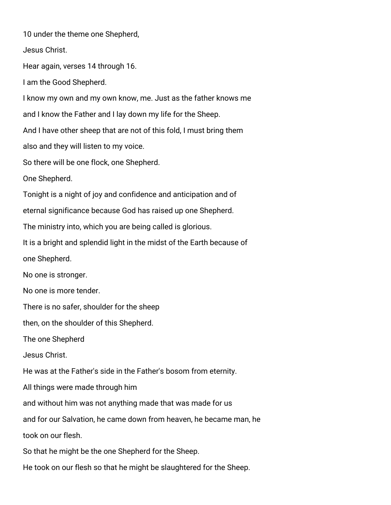10 under the theme one Shepherd, Jesus Christ. Hear again, verses 14 through 16. I am the Good Shepherd. I know my own and my own know, me. Just as the father knows me and I know the Father and I lay down my life for the Sheep. And I have other sheep that are not of this fold, I must bring them also and they will listen to my voice. So there will be one flock, one Shepherd. One Shepherd. Tonight is a night of joy and confidence and anticipation and of eternal significance because God has raised up one Shepherd. The ministry into, which you are being called is glorious. It is a bright and splendid light in the midst of the Earth because of one Shepherd. No one is stronger. No one is more tender. There is no safer, shoulder for the sheep then, on the shoulder of this Shepherd. The one Shepherd Jesus Christ. He was at the Father's side in the Father's bosom from eternity. All things were made through him and without him was not anything made that was made for us and for our Salvation, he came down from heaven, he became man, he took on our flesh. So that he might be the one Shepherd for the Sheep. He took on our flesh so that he might be slaughtered for the Sheep.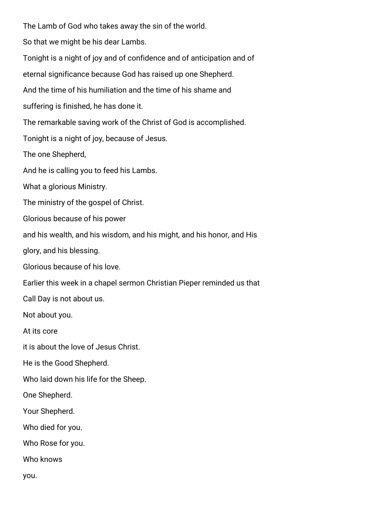The Lamb of God who takes away the sin of the world. So that we might be his dear Lambs. Tonight is a night of joy and of confidence and of anticipation and of eternal significance because God has raised up one Shepherd. And the time of his humiliation and the time of his shame and suffering is finished, he has done it. The remarkable saving work of the Christ of God is accomplished. Tonight is a night of joy, because of Jesus. The one Shepherd, And he is calling you to feed his Lambs. What a glorious Ministry. The ministry of the gospel of Christ. Glorious because of his power and his wealth, and his wisdom, and his might, and his honor, and His glory, and his blessing. Glorious because of his love. Earlier this week in a chapel sermon Christian Pieper reminded us that Call Day is not about us. Not about you. At its core it is about the love of Jesus Christ. He is the Good Shepherd. Who laid down his life for the Sheep. One Shepherd. Your Shepherd. Who died for you. Who Rose for you. Who knows you.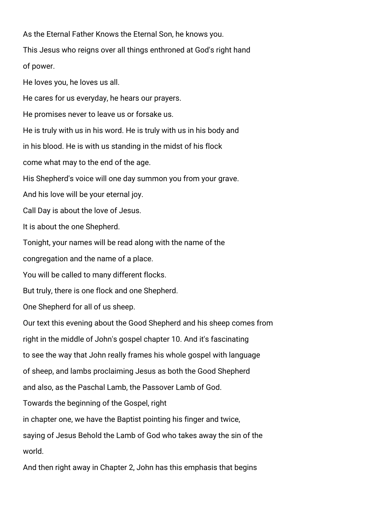As the Eternal Father Knows the Eternal Son, he knows you. This Jesus who reigns over all things enthroned at God's right hand of power. He loves you, he loves us all. He cares for us everyday, he hears our prayers. He promises never to leave us or forsake us. He is truly with us in his word. He is truly with us in his body and in his blood. He is with us standing in the midst of his flock come what may to the end of the age. His Shepherd's voice will one day summon you from your grave. And his love will be your eternal joy. Call Day is about the love of Jesus. It is about the one Shepherd. Tonight, your names will be read along with the name of the congregation and the name of a place. You will be called to many different flocks. But truly, there is one flock and one Shepherd. One Shepherd for all of us sheep. Our text this evening about the Good Shepherd and his sheep comes from right in the middle of John's gospel chapter 10. And it's fascinating to see the way that John really frames his whole gospel with language of sheep, and lambs proclaiming Jesus as both the Good Shepherd and also, as the Paschal Lamb, the Passover Lamb of God. Towards the beginning of the Gospel, right in chapter one, we have the Baptist pointing his finger and twice, saying of Jesus Behold the Lamb of God who takes away the sin of the world.

And then right away in Chapter 2, John has this emphasis that begins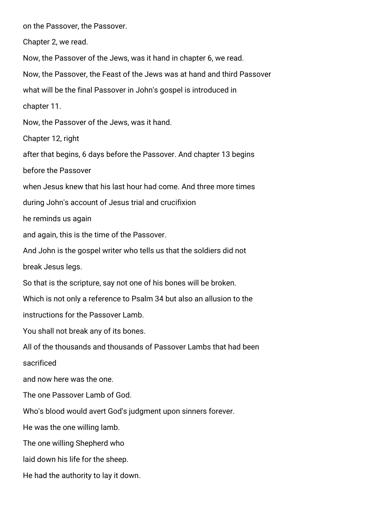on the Passover, the Passover. Chapter 2, we read. Now, the Passover of the Jews, was it hand in chapter 6, we read. Now, the Passover, the Feast of the Jews was at hand and third Passover what will be the final Passover in John's gospel is introduced in chapter 11. Now, the Passover of the Jews, was it hand. Chapter 12, right after that begins, 6 days before the Passover. And chapter 13 begins before the Passover when Jesus knew that his last hour had come. And three more times during John's account of Jesus trial and crucifixion he reminds us again and again, this is the time of the Passover. And John is the gospel writer who tells us that the soldiers did not break Jesus legs. So that is the scripture, say not one of his bones will be broken. Which is not only a reference to Psalm 34 but also an allusion to the instructions for the Passover Lamb. You shall not break any of its bones. All of the thousands and thousands of Passover Lambs that had been sacrificed and now here was the one. The one Passover Lamb of God. Who's blood would avert God's judgment upon sinners forever. He was the one willing lamb. The one willing Shepherd who laid down his life for the sheep.

He had the authority to lay it down.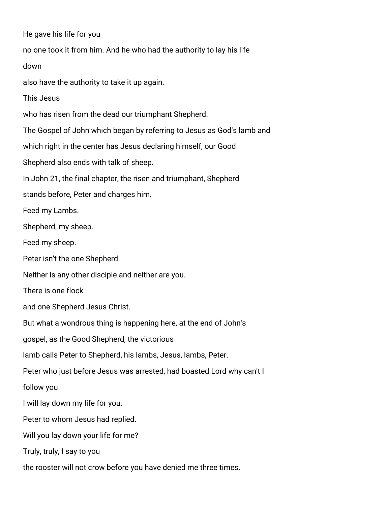He gave his life for you no one took it from him. And he who had the authority to lay his life down also have the authority to take it up again. This Jesus who has risen from the dead our triumphant Shepherd. The Gospel of John which began by referring to Jesus as God's lamb and which right in the center has Jesus declaring himself, our Good Shepherd also ends with talk of sheep. In John 21, the final chapter, the risen and triumphant, Shepherd stands before, Peter and charges him. Feed my Lambs. Shepherd, my sheep. Feed my sheep. Peter isn't the one Shepherd. Neither is any other disciple and neither are you. There is one flock and one Shepherd Jesus Christ. But what a wondrous thing is happening here, at the end of John's gospel, as the Good Shepherd, the victorious lamb calls Peter to Shepherd, his lambs, Jesus, lambs, Peter. Peter who just before Jesus was arrested, had boasted Lord why can't I follow you I will lay down my life for you. Peter to whom Jesus had replied. Will you lay down your life for me? Truly, truly, I say to you the rooster will not crow before you have denied me three times.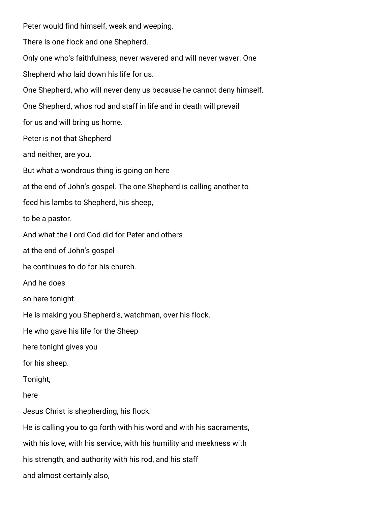Peter would find himself, weak and weeping. There is one flock and one Shepherd. Only one who's faithfulness, never wavered and will never waver. One Shepherd who laid down his life for us. One Shepherd, who will never deny us because he cannot deny himself. One Shepherd, whos rod and staff in life and in death will prevail for us and will bring us home. Peter is not that Shepherd and neither, are you. But what a wondrous thing is going on here at the end of John's gospel. The one Shepherd is calling another to feed his lambs to Shepherd, his sheep, to be a pastor. And what the Lord God did for Peter and others at the end of John's gospel he continues to do for his church. And he does so here tonight. He is making you Shepherd's, watchman, over his flock. He who gave his life for the Sheep here tonight gives you for his sheep. Tonight, here Jesus Christ is shepherding, his flock. He is calling you to go forth with his word and with his sacraments, with his love, with his service, with his humility and meekness with his strength, and authority with his rod, and his staff and almost certainly also,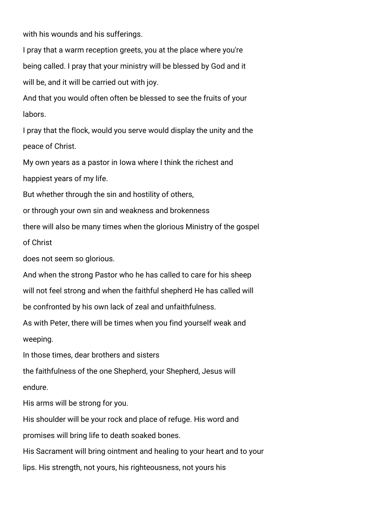with his wounds and his sufferings.

I pray that a warm reception greets, you at the place where you're being called. I pray that your ministry will be blessed by God and it will be, and it will be carried out with joy.

And that you would often often be blessed to see the fruits of your labors.

I pray that the flock, would you serve would display the unity and the peace of Christ.

My own years as a pastor in Iowa where I think the richest and happiest years of my life.

But whether through the sin and hostility of others,

or through your own sin and weakness and brokenness

there will also be many times when the glorious Ministry of the gospel

of Christ

does not seem so glorious.

And when the strong Pastor who he has called to care for his sheep will not feel strong and when the faithful shepherd He has called will be confronted by his own lack of zeal and unfaithfulness.

As with Peter, there will be times when you find yourself weak and weeping.

In those times, dear brothers and sisters

the faithfulness of the one Shepherd, your Shepherd, Jesus will endure.

His arms will be strong for you.

His shoulder will be your rock and place of refuge. His word and

promises will bring life to death soaked bones.

His Sacrament will bring ointment and healing to your heart and to your

lips. His strength, not yours, his righteousness, not yours his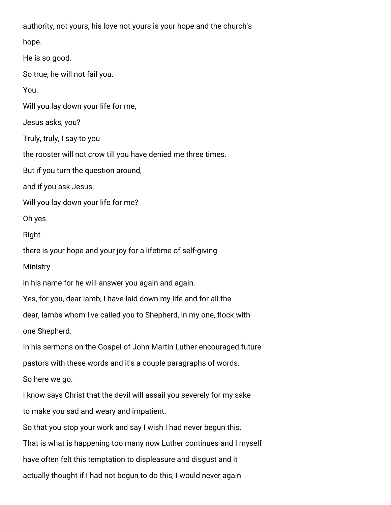authority, not yours, his love not yours is your hope and the church's

hope.

He is so good.

So true, he will not fail you.

You.

Will you lay down your life for me,

Jesus asks, you?

Truly, truly, I say to you

the rooster will not crow till you have denied me three times.

But if you turn the question around,

and if you ask Jesus,

Will you lay down your life for me?

Oh yes.

Right

there is your hope and your joy for a lifetime of self-giving

**Ministry** 

in his name for he will answer you again and again.

Yes, for you, dear lamb, I have laid down my life and for all the

dear, lambs whom I've called you to Shepherd, in my one, flock with

one Shepherd.

In his sermons on the Gospel of John Martin Luther encouraged future

pastors with these words and it's a couple paragraphs of words.

So here we go.

I know says Christ that the devil will assail you severely for my sake

to make you sad and weary and impatient.

So that you stop your work and say I wish I had never begun this.

That is what is happening too many now Luther continues and I myself

have often felt this temptation to displeasure and disgust and it

actually thought if I had not begun to do this, I would never again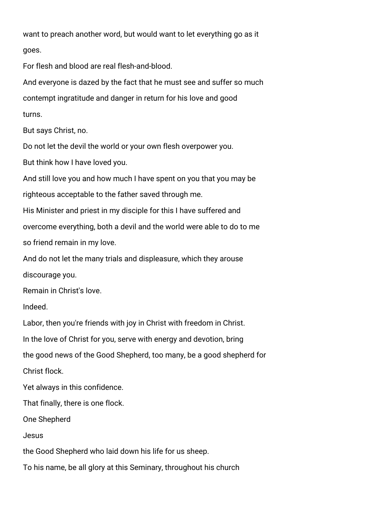want to preach another word, but would want to let everything go as it goes.

For flesh and blood are real flesh-and-blood.

And everyone is dazed by the fact that he must see and suffer so much contempt ingratitude and danger in return for his love and good turns.

But says Christ, no.

Do not let the devil the world or your own flesh overpower you.

But think how I have loved you.

And still love you and how much I have spent on you that you may be righteous acceptable to the father saved through me.

His Minister and priest in my disciple for this I have suffered and

overcome everything, both a devil and the world were able to do to me

so friend remain in my love.

And do not let the many trials and displeasure, which they arouse discourage you.

Remain in Christ's love.

Indeed.

Labor, then you're friends with joy in Christ with freedom in Christ.

In the love of Christ for you, serve with energy and devotion, bring

the good news of the Good Shepherd, too many, be a good shepherd for

Christ flock.

Yet always in this confidence.

That finally, there is one flock.

One Shepherd

Jesus

the Good Shepherd who laid down his life for us sheep.

To his name, be all glory at this Seminary, throughout his church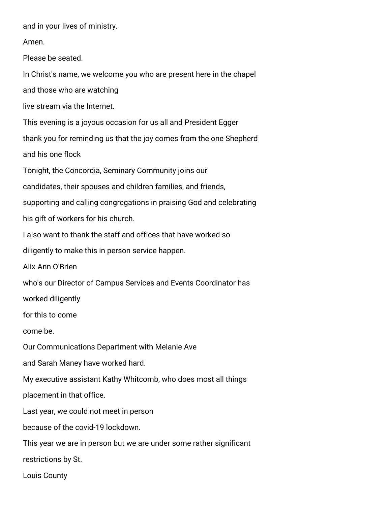and in your lives of ministry.

Amen.

Please be seated.

In Christ's name, we welcome you who are present here in the chapel

and those who are watching

live stream via the Internet.

This evening is a joyous occasion for us all and President Egger

thank you for reminding us that the joy comes from the one Shepherd

and his one flock

Tonight, the Concordia, Seminary Community joins our

candidates, their spouses and children families, and friends,

supporting and calling congregations in praising God and celebrating

his gift of workers for his church.

I also want to thank the staff and offices that have worked so

diligently to make this in person service happen.

Alix-Ann O'Brien

who's our Director of Campus Services and Events Coordinator has

worked diligently

for this to come

come be.

Our Communications Department with Melanie Ave

and Sarah Maney have worked hard.

My executive assistant Kathy Whitcomb, who does most all things

placement in that office.

Last year, we could not meet in person

because of the covid-19 lockdown.

This year we are in person but we are under some rather significant restrictions by St.

Louis County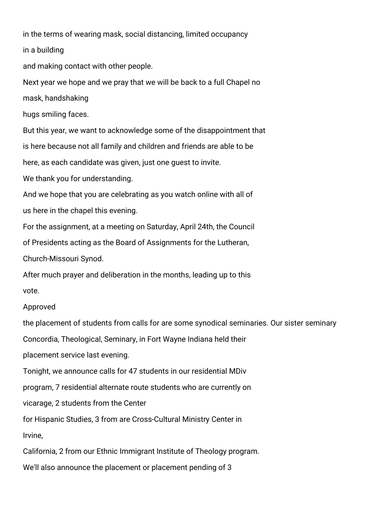in the terms of wearing mask, social distancing, limited occupancy in a building

and making contact with other people.

Next year we hope and we pray that we will be back to a full Chapel no

mask, handshaking

hugs smiling faces.

But this year, we want to acknowledge some of the disappointment that

is here because not all family and children and friends are able to be

here, as each candidate was given, just one guest to invite.

We thank you for understanding.

And we hope that you are celebrating as you watch online with all of us here in the chapel this evening.

For the assignment, at a meeting on Saturday, April 24th, the Council

of Presidents acting as the Board of Assignments for the Lutheran,

Church-Missouri Synod.

After much prayer and deliberation in the months, leading up to this vote.

## Approved

the placement of students from calls for are some synodical seminaries. Our sister seminary Concordia, Theological, Seminary, in Fort Wayne Indiana held their placement service last evening. Tonight, we announce calls for 47 students in our residential MDiv

program, 7 residential alternate route students who are currently on

vicarage, 2 students from the Center

for Hispanic Studies, 3 from are Cross-Cultural Ministry Center in

Irvine,

California, 2 from our Ethnic Immigrant Institute of Theology program.

We'll also announce the placement or placement pending of 3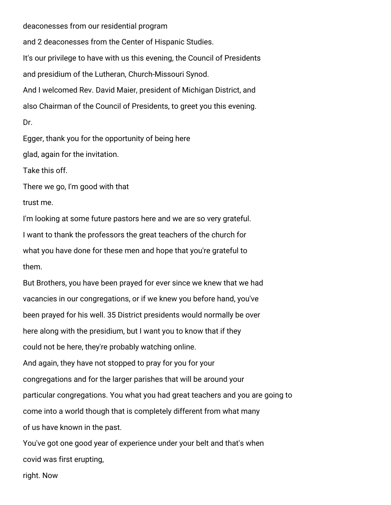deaconesses from our residential program

and 2 deaconesses from the Center of Hispanic Studies. It's our privilege to have with us this evening, the Council of Presidents and presidium of the Lutheran, Church-Missouri Synod. And I welcomed Rev. David Maier, president of Michigan District, and also Chairman of the Council of Presidents, to greet you this evening. Dr.

Egger, thank you for the opportunity of being here

glad, again for the invitation.

Take this off.

There we go, I'm good with that

trust me.

I'm looking at some future pastors here and we are so very grateful. I want to thank the professors the great teachers of the church for what you have done for these men and hope that you're grateful to them.

But Brothers, you have been prayed for ever since we knew that we had vacancies in our congregations, or if we knew you before hand, you've been prayed for his well. 35 District presidents would normally be over here along with the presidium, but I want you to know that if they could not be here, they're probably watching online. And again, they have not stopped to pray for you for your congregations and for the larger parishes that will be around your particular congregations. You what you had great teachers and you are going to come into a world though that is completely different from what many of us have known in the past.

You've got one good year of experience under your belt and that's when covid was first erupting,

right. Now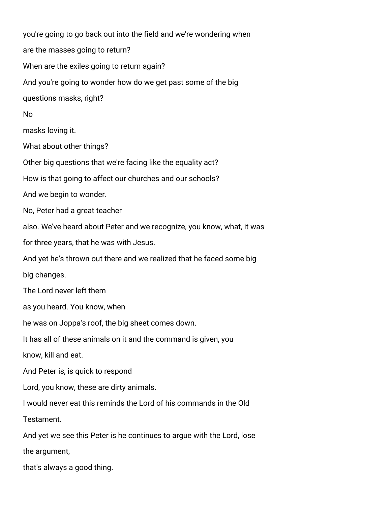you're going to go back out into the field and we're wondering when are the masses going to return? When are the exiles going to return again? And you're going to wonder how do we get past some of the big questions masks, right? No masks loving it. What about other things? Other big questions that we're facing like the equality act? How is that going to affect our churches and our schools? And we begin to wonder. No, Peter had a great teacher also. We've heard about Peter and we recognize, you know, what, it was for three years, that he was with Jesus. And yet he's thrown out there and we realized that he faced some big big changes. The Lord never left them as you heard. You know, when he was on Joppa's roof, the big sheet comes down. It has all of these animals on it and the command is given, you know, kill and eat. And Peter is, is quick to respond Lord, you know, these are dirty animals. I would never eat this reminds the Lord of his commands in the Old Testament. And yet we see this Peter is he continues to argue with the Lord, lose the argument, that's always a good thing.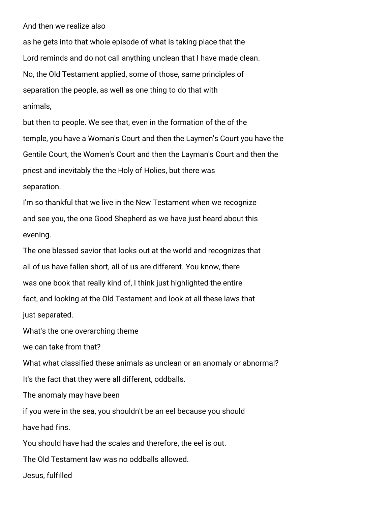And then we realize also

as he gets into that whole episode of what is taking place that the Lord reminds and do not call anything unclean that I have made clean. No, the Old Testament applied, some of those, same principles of separation the people, as well as one thing to do that with animals,

but then to people. We see that, even in the formation of the of the temple, you have a Woman's Court and then the Laymen's Court you have the Gentile Court, the Women's Court and then the Layman's Court and then the priest and inevitably the the Holy of Holies, but there was separation.

I'm so thankful that we live in the New Testament when we recognize and see you, the one Good Shepherd as we have just heard about this evening.

The one blessed savior that looks out at the world and recognizes that all of us have fallen short, all of us are different. You know, there was one book that really kind of, I think just highlighted the entire fact, and looking at the Old Testament and look at all these laws that just separated.

What's the one overarching theme

we can take from that?

What what classified these animals as unclean or an anomaly or abnormal? It's the fact that they were all different, oddballs.

The anomaly may have been

if you were in the sea, you shouldn't be an eel because you should have had fins.

You should have had the scales and therefore, the eel is out.

The Old Testament law was no oddballs allowed.

Jesus, fulfilled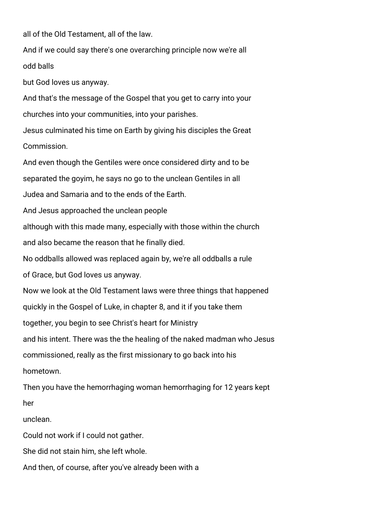all of the Old Testament, all of the law.

And if we could say there's one overarching principle now we're all odd balls

but God loves us anyway.

And that's the message of the Gospel that you get to carry into your churches into your communities, into your parishes.

Jesus culminated his time on Earth by giving his disciples the Great Commission.

And even though the Gentiles were once considered dirty and to be separated the goyim, he says no go to the unclean Gentiles in all Judea and Samaria and to the ends of the Earth. And Jesus approached the unclean people although with this made many, especially with those within the church and also became the reason that he finally died. No oddballs allowed was replaced again by, we're all oddballs a rule of Grace, but God loves us anyway. Now we look at the Old Testament laws were three things that happened quickly in the Gospel of Luke, in chapter 8, and it if you take them together, you begin to see Christ's heart for Ministry and his intent. There was the the healing of the naked madman who Jesus commissioned, really as the first missionary to go back into his hometown.

Then you have the hemorrhaging woman hemorrhaging for 12 years kept her

unclean.

Could not work if I could not gather.

She did not stain him, she left whole.

And then, of course, after you've already been with a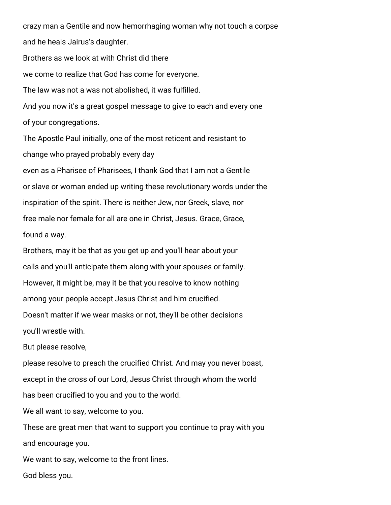crazy man a Gentile and now hemorrhaging woman why not touch a corpse and he heals Jairus's daughter. Brothers as we look at with Christ did there we come to realize that God has come for everyone. The law was not a was not abolished, it was fulfilled. And you now it's a great gospel message to give to each and every one of your congregations. The Apostle Paul initially, one of the most reticent and resistant to change who prayed probably every day

even as a Pharisee of Pharisees, I thank God that I am not a Gentile or slave or woman ended up writing these revolutionary words under the inspiration of the spirit. There is neither Jew, nor Greek, slave, nor free male nor female for all are one in Christ, Jesus. Grace, Grace, found a way.

Brothers, may it be that as you get up and you'll hear about your calls and you'll anticipate them along with your spouses or family. However, it might be, may it be that you resolve to know nothing among your people accept Jesus Christ and him crucified. Doesn't matter if we wear masks or not, they'll be other decisions you'll wrestle with.

But please resolve,

please resolve to preach the crucified Christ. And may you never boast, except in the cross of our Lord, Jesus Christ through whom the world has been crucified to you and you to the world.

We all want to say, welcome to you.

These are great men that want to support you continue to pray with you and encourage you.

We want to say, welcome to the front lines.

God bless you.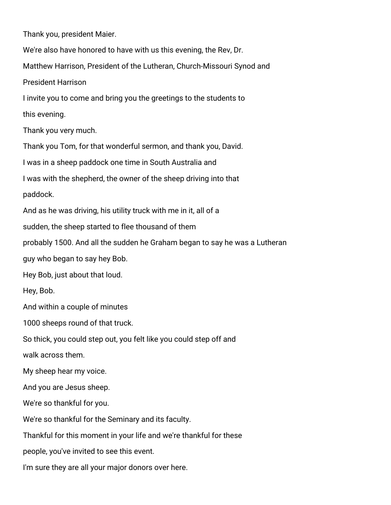Thank you, president Maier.

We're also have honored to have with us this evening, the Rev, Dr. Matthew Harrison, President of the Lutheran, Church-Missouri Synod and President Harrison

I invite you to come and bring you the greetings to the students to

this evening.

Thank you very much.

Thank you Tom, for that wonderful sermon, and thank you, David.

I was in a sheep paddock one time in South Australia and

I was with the shepherd, the owner of the sheep driving into that

paddock.

And as he was driving, his utility truck with me in it, all of a

sudden, the sheep started to flee thousand of them

probably 1500. And all the sudden he Graham began to say he was a Lutheran

guy who began to say hey Bob.

Hey Bob, just about that loud.

Hey, Bob.

And within a couple of minutes

1000 sheeps round of that truck.

So thick, you could step out, you felt like you could step off and

walk across them.

My sheep hear my voice.

And you are Jesus sheep.

We're so thankful for you.

We're so thankful for the Seminary and its faculty.

Thankful for this moment in your life and we're thankful for these

people, you've invited to see this event.

I'm sure they are all your major donors over here.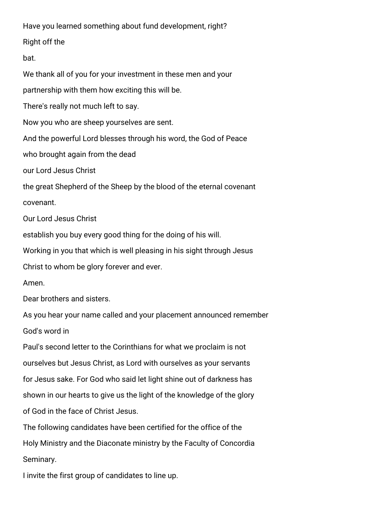Have you learned something about fund development, right?

Right off the

bat.

We thank all of you for your investment in these men and your

partnership with them how exciting this will be.

There's really not much left to say.

Now you who are sheep yourselves are sent.

And the powerful Lord blesses through his word, the God of Peace

who brought again from the dead

our Lord Jesus Christ

the great Shepherd of the Sheep by the blood of the eternal covenant covenant.

Our Lord Jesus Christ

establish you buy every good thing for the doing of his will.

Working in you that which is well pleasing in his sight through Jesus

Christ to whom be glory forever and ever.

Amen.

Dear brothers and sisters.

As you hear your name called and your placement announced remember

God's word in

Paul's second letter to the Corinthians for what we proclaim is not ourselves but Jesus Christ, as Lord with ourselves as your servants for Jesus sake. For God who said let light shine out of darkness has shown in our hearts to give us the light of the knowledge of the glory of God in the face of Christ Jesus.

The following candidates have been certified for the office of the Holy Ministry and the Diaconate ministry by the Faculty of Concordia Seminary.

I invite the first group of candidates to line up.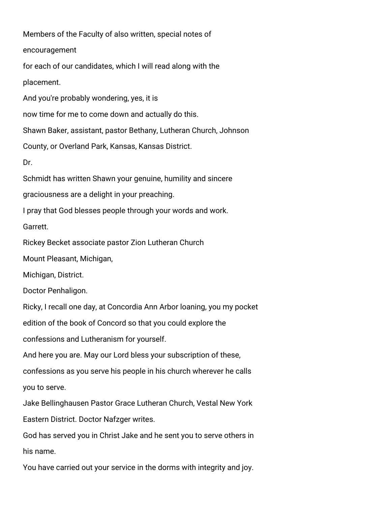Members of the Faculty of also written, special notes of encouragement for each of our candidates, which I will read along with the placement. And you're probably wondering, yes, it is now time for me to come down and actually do this. Shawn Baker, assistant, pastor Bethany, Lutheran Church, Johnson County, or Overland Park, Kansas, Kansas District. Dr. Schmidt has written Shawn your genuine, humility and sincere graciousness are a delight in your preaching. I pray that God blesses people through your words and work. Garrett. Rickey Becket associate pastor Zion Lutheran Church Mount Pleasant, Michigan, Michigan, District. Doctor Penhaligon. Ricky, I recall one day, at Concordia Ann Arbor loaning, you my pocket edition of the book of Concord so that you could explore the confessions and Lutheranism for yourself. And here you are. May our Lord bless your subscription of these, confessions as you serve his people in his church wherever he calls you to serve. Jake Bellinghausen Pastor Grace Lutheran Church, Vestal New York Eastern District. Doctor Nafzger writes. God has served you in Christ Jake and he sent you to serve others in his name.

You have carried out your service in the dorms with integrity and joy.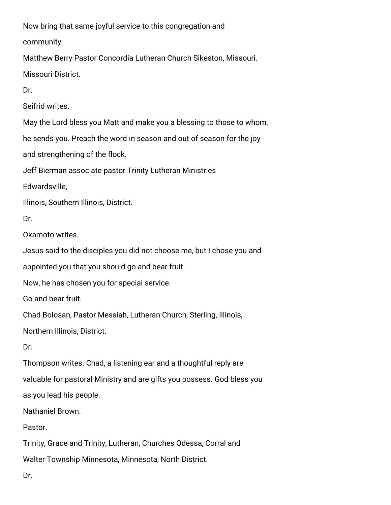Now bring that same joyful service to this congregation and

community.

Matthew Berry Pastor Concordia Lutheran Church Sikeston, Missouri,

Missouri District.

Dr.

Seifrid writes.

May the Lord bless you Matt and make you a blessing to those to whom,

he sends you. Preach the word in season and out of season for the joy

and strengthening of the flock.

Jeff Bierman associate pastor Trinity Lutheran Ministries

Edwardsville,

Illinois, Southern Illinois, District.

Dr.

Okamoto writes.

Jesus said to the disciples you did not choose me, but I chose you and

appointed you that you should go and bear fruit.

Now, he has chosen you for special service.

Go and bear fruit.

Chad Bolosan, Pastor Messiah, Lutheran Church, Sterling, Illinois,

Northern Illinois, District.

Dr.

Thompson writes. Chad, a listening ear and a thoughtful reply are valuable for pastoral Ministry and are gifts you possess. God bless you as you lead his people.

Nathaniel Brown.

Pastor.

Trinity, Grace and Trinity, Lutheran, Churches Odessa, Corral and

Walter Township Minnesota, Minnesota, North District.

Dr.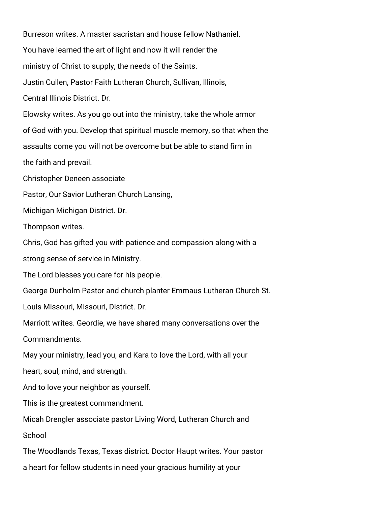Burreson writes. A master sacristan and house fellow Nathaniel. You have learned the art of light and now it will render the ministry of Christ to supply, the needs of the Saints. Justin Cullen, Pastor Faith Lutheran Church, Sullivan, Illinois, Central Illinois District. Dr. Elowsky writes. As you go out into the ministry, take the whole armor of God with you. Develop that spiritual muscle memory, so that when the assaults come you will not be overcome but be able to stand firm in the faith and prevail. Christopher Deneen associate Pastor, Our Savior Lutheran Church Lansing, Michigan Michigan District. Dr. Thompson writes. Chris, God has gifted you with patience and compassion along with a strong sense of service in Ministry. The Lord blesses you care for his people. George Dunholm Pastor and church planter Emmaus Lutheran Church St. Louis Missouri, Missouri, District. Dr. Marriott writes. Geordie, we have shared many conversations over the Commandments. May your ministry, lead you, and Kara to love the Lord, with all your heart, soul, mind, and strength. And to love your neighbor as yourself. This is the greatest commandment. Micah Drengler associate pastor Living Word, Lutheran Church and School The Woodlands Texas, Texas district. Doctor Haupt writes. Your pastor

a heart for fellow students in need your gracious humility at your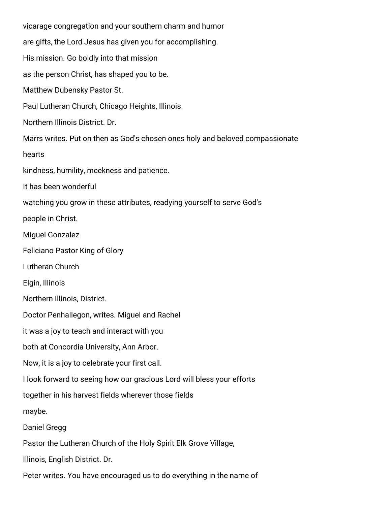vicarage congregation and your southern charm and humor are gifts, the Lord Jesus has given you for accomplishing. His mission. Go boldly into that mission as the person Christ, has shaped you to be. Matthew Dubensky Pastor St. Paul Lutheran Church, Chicago Heights, Illinois. Northern Illinois District. Dr. Marrs writes. Put on then as God's chosen ones holy and beloved compassionate hearts kindness, humility, meekness and patience. It has been wonderful watching you grow in these attributes, readying yourself to serve God's people in Christ. Miguel Gonzalez Feliciano Pastor King of Glory Lutheran Church Elgin, Illinois Northern Illinois, District. Doctor Penhallegon, writes. Miguel and Rachel it was a joy to teach and interact with you both at Concordia University, Ann Arbor. Now, it is a joy to celebrate your first call. I look forward to seeing how our gracious Lord will bless your efforts together in his harvest fields wherever those fields maybe. Daniel Gregg Pastor the Lutheran Church of the Holy Spirit Elk Grove Village, Illinois, English District. Dr.

Peter writes. You have encouraged us to do everything in the name of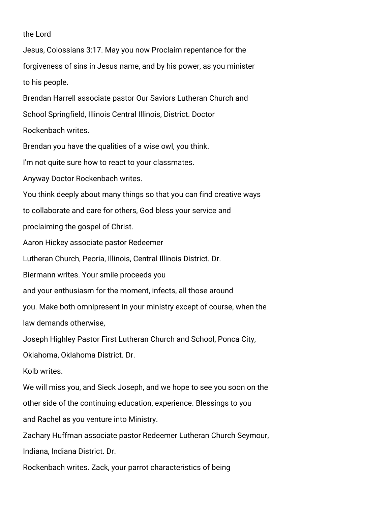## the Lord

Jesus, Colossians 3:17. May you now Proclaim repentance for the forgiveness of sins in Jesus name, and by his power, as you minister to his people. Brendan Harrell associate pastor Our Saviors Lutheran Church and School Springfield, Illinois Central Illinois, District. Doctor Rockenbach writes. Brendan you have the qualities of a wise owl, you think. I'm not quite sure how to react to your classmates. Anyway Doctor Rockenbach writes. You think deeply about many things so that you can find creative ways to collaborate and care for others, God bless your service and proclaiming the gospel of Christ. Aaron Hickey associate pastor Redeemer Lutheran Church, Peoria, Illinois, Central Illinois District. Dr. Biermann writes. Your smile proceeds you and your enthusiasm for the moment, infects, all those around you. Make both omnipresent in your ministry except of course, when the law demands otherwise, Joseph Highley Pastor First Lutheran Church and School, Ponca City, Oklahoma, Oklahoma District. Dr. Kolb writes. We will miss you, and Sieck Joseph, and we hope to see you soon on the other side of the continuing education, experience. Blessings to you and Rachel as you venture into Ministry. Zachary Huffman associate pastor Redeemer Lutheran Church Seymour, Indiana, Indiana District. Dr. Rockenbach writes. Zack, your parrot characteristics of being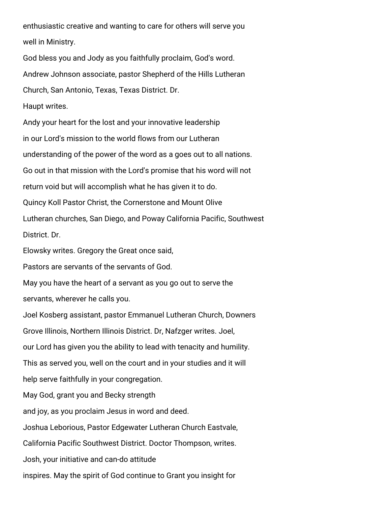enthusiastic creative and wanting to care for others will serve you well in Ministry.

God bless you and Jody as you faithfully proclaim, God's word. Andrew Johnson associate, pastor Shepherd of the Hills Lutheran Church, San Antonio, Texas, Texas District. Dr. Haupt writes.

Andy your heart for the lost and your innovative leadership in our Lord's mission to the world flows from our Lutheran understanding of the power of the word as a goes out to all nations. Go out in that mission with the Lord's promise that his word will not return void but will accomplish what he has given it to do. Quincy Koll Pastor Christ, the Cornerstone and Mount Olive Lutheran churches, San Diego, and Poway California Pacific, Southwest District. Dr. Elowsky writes. Gregory the Great once said, Pastors are servants of the servants of God. May you have the heart of a servant as you go out to serve the servants, wherever he calls you.

Joel Kosberg assistant, pastor Emmanuel Lutheran Church, Downers Grove Illinois, Northern Illinois District. Dr, Nafzger writes. Joel, our Lord has given you the ability to lead with tenacity and humility. This as served you, well on the court and in your studies and it will help serve faithfully in your congregation. May God, grant you and Becky strength and joy, as you proclaim Jesus in word and deed. Joshua Leborious, Pastor Edgewater Lutheran Church Eastvale, California Pacific Southwest District. Doctor Thompson, writes. Josh, your initiative and can-do attitude inspires. May the spirit of God continue to Grant you insight for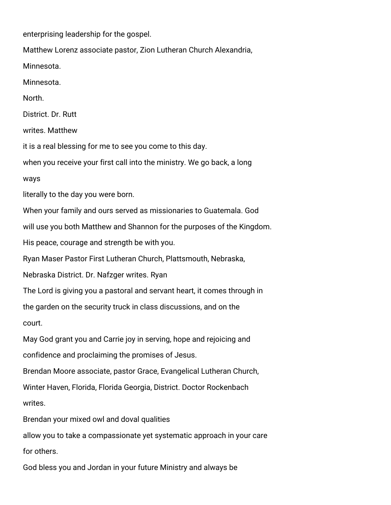enterprising leadership for the gospel. Matthew Lorenz associate pastor, Zion Lutheran Church Alexandria, Minnesota. Minnesota. North. District. Dr. Rutt writes. Matthew it is a real blessing for me to see you come to this day. when you receive your first call into the ministry. We go back, a long ways literally to the day you were born. When your family and ours served as missionaries to Guatemala. God will use you both Matthew and Shannon for the purposes of the Kingdom. His peace, courage and strength be with you. Ryan Maser Pastor First Lutheran Church, Plattsmouth, Nebraska, Nebraska District. Dr. Nafzger writes. Ryan The Lord is giving you a pastoral and servant heart, it comes through in the garden on the security truck in class discussions, and on the court. May God grant you and Carrie joy in serving, hope and rejoicing and confidence and proclaiming the promises of Jesus. Brendan Moore associate, pastor Grace, Evangelical Lutheran Church, Winter Haven, Florida, Florida Georgia, District. Doctor Rockenbach writes. Brendan your mixed owl and doval qualities allow you to take a compassionate yet systematic approach in your care for others. God bless you and Jordan in your future Ministry and always be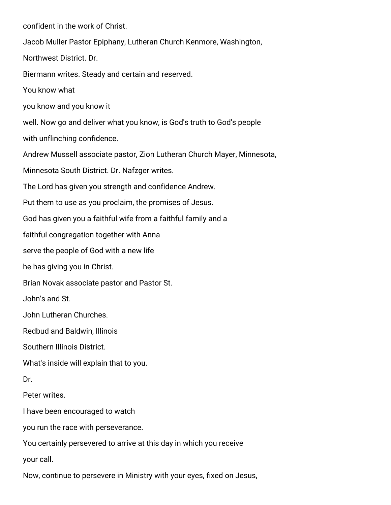confident in the work of Christ.

Jacob Muller Pastor Epiphany, Lutheran Church Kenmore, Washington,

Northwest District. Dr.

Biermann writes. Steady and certain and reserved.

You know what

you know and you know it

well. Now go and deliver what you know, is God's truth to God's people

with unflinching confidence.

Andrew Mussell associate pastor, Zion Lutheran Church Mayer, Minnesota,

Minnesota South District. Dr. Nafzger writes.

The Lord has given you strength and confidence Andrew.

Put them to use as you proclaim, the promises of Jesus.

God has given you a faithful wife from a faithful family and a

faithful congregation together with Anna

serve the people of God with a new life

he has giving you in Christ.

Brian Novak associate pastor and Pastor St.

John's and St.

John Lutheran Churches.

Redbud and Baldwin, Illinois

Southern Illinois District.

What's inside will explain that to you.

Dr.

Peter writes.

I have been encouraged to watch

you run the race with perseverance.

You certainly persevered to arrive at this day in which you receive

your call.

Now, continue to persevere in Ministry with your eyes, fixed on Jesus,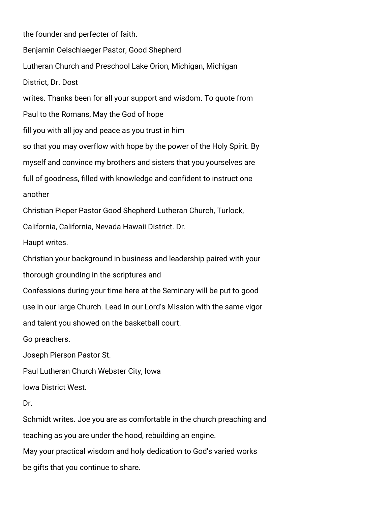the founder and perfecter of faith. Benjamin Oelschlaeger Pastor, Good Shepherd Lutheran Church and Preschool Lake Orion, Michigan, Michigan District, Dr. Dost writes. Thanks been for all your support and wisdom. To quote from Paul to the Romans, May the God of hope fill you with all joy and peace as you trust in him so that you may overflow with hope by the power of the Holy Spirit. By myself and convince my brothers and sisters that you yourselves are full of goodness, filled with knowledge and confident to instruct one another Christian Pieper Pastor Good Shepherd Lutheran Church, Turlock, California, California, Nevada Hawaii District. Dr. Haupt writes. Christian your background in business and leadership paired with your thorough grounding in the scriptures and Confessions during your time here at the Seminary will be put to good use in our large Church. Lead in our Lord's Mission with the same vigor and talent you showed on the basketball court. Go preachers. Joseph Pierson Pastor St. Paul Lutheran Church Webster City, Iowa Iowa District West. Dr. Schmidt writes. Joe you are as comfortable in the church preaching and teaching as you are under the hood, rebuilding an engine. May your practical wisdom and holy dedication to God's varied works be gifts that you continue to share.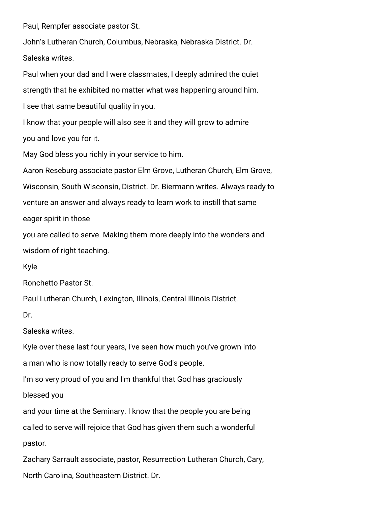Paul, Rempfer associate pastor St.

John's Lutheran Church, Columbus, Nebraska, Nebraska District. Dr. Saleska writes.

Paul when your dad and I were classmates, I deeply admired the quiet strength that he exhibited no matter what was happening around him. I see that same beautiful quality in you.

I know that your people will also see it and they will grow to admire you and love you for it.

May God bless you richly in your service to him.

Aaron Reseburg associate pastor Elm Grove, Lutheran Church, Elm Grove,

Wisconsin, South Wisconsin, District. Dr. Biermann writes. Always ready to

venture an answer and always ready to learn work to instill that same

eager spirit in those

you are called to serve. Making them more deeply into the wonders and wisdom of right teaching.

Kyle

Ronchetto Pastor St.

Paul Lutheran Church, Lexington, Illinois, Central Illinois District.

Dr.

Saleska writes.

Kyle over these last four years, I've seen how much you've grown into

a man who is now totally ready to serve God's people.

I'm so very proud of you and I'm thankful that God has graciously

blessed you

and your time at the Seminary. I know that the people you are being called to serve will rejoice that God has given them such a wonderful pastor.

Zachary Sarrault associate, pastor, Resurrection Lutheran Church, Cary, North Carolina, Southeastern District. Dr.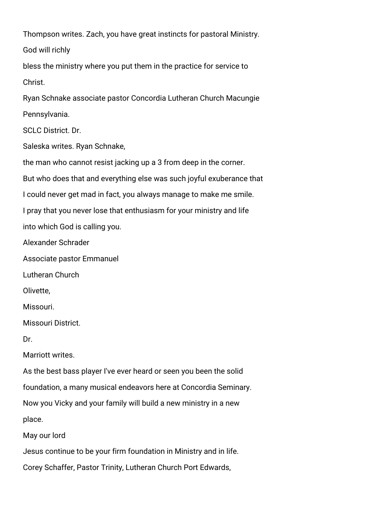Thompson writes. Zach, you have great instincts for pastoral Ministry. God will richly

bless the ministry where you put them in the practice for service to Christ.

Ryan Schnake associate pastor Concordia Lutheran Church Macungie Pennsylvania.

SCLC District. Dr.

Saleska writes. Ryan Schnake,

the man who cannot resist jacking up a 3 from deep in the corner.

But who does that and everything else was such joyful exuberance that

I could never get mad in fact, you always manage to make me smile.

I pray that you never lose that enthusiasm for your ministry and life

into which God is calling you.

Alexander Schrader

Associate pastor Emmanuel

Lutheran Church

Olivette,

Missouri.

Missouri District.

Dr.

Marriott writes.

As the best bass player I've ever heard or seen you been the solid

foundation, a many musical endeavors here at Concordia Seminary.

Now you Vicky and your family will build a new ministry in a new

place.

May our lord

Jesus continue to be your firm foundation in Ministry and in life.

Corey Schaffer, Pastor Trinity, Lutheran Church Port Edwards,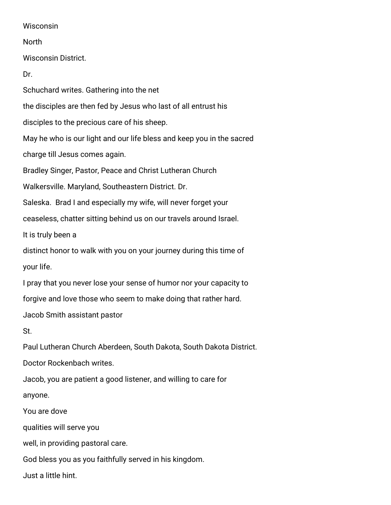## **Wisconsin**

North

Wisconsin District.

Dr.

Schuchard writes. Gathering into the net the disciples are then fed by Jesus who last of all entrust his disciples to the precious care of his sheep. May he who is our light and our life bless and keep you in the sacred charge till Jesus comes again. Bradley Singer, Pastor, Peace and Christ Lutheran Church Walkersville. Maryland, Southeastern District. Dr. Saleska. Brad I and especially my wife, will never forget your ceaseless, chatter sitting behind us on our travels around Israel. It is truly been a distinct honor to walk with you on your journey during this time of your life. I pray that you never lose your sense of humor nor your capacity to forgive and love those who seem to make doing that rather hard. Jacob Smith assistant pastor St. Paul Lutheran Church Aberdeen, South Dakota, South Dakota District. Doctor Rockenbach writes. Jacob, you are patient a good listener, and willing to care for anyone. You are dove qualities will serve you well, in providing pastoral care. God bless you as you faithfully served in his kingdom. Just a little hint.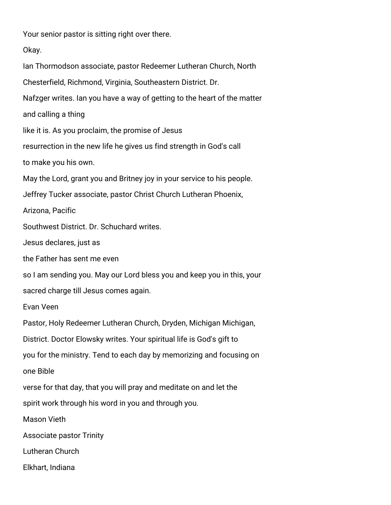Your senior pastor is sitting right over there.

Okay.

Ian Thormodson associate, pastor Redeemer Lutheran Church, North Chesterfield, Richmond, Virginia, Southeastern District. Dr. Nafzger writes. Ian you have a way of getting to the heart of the matter and calling a thing like it is. As you proclaim, the promise of Jesus resurrection in the new life he gives us find strength in God's call to make you his own. May the Lord, grant you and Britney joy in your service to his people. Jeffrey Tucker associate, pastor Christ Church Lutheran Phoenix, Arizona, Pacific Southwest District. Dr. Schuchard writes. Jesus declares, just as the Father has sent me even so I am sending you. May our Lord bless you and keep you in this, your sacred charge till Jesus comes again. Evan Veen Pastor, Holy Redeemer Lutheran Church, Dryden, Michigan Michigan, District. Doctor Elowsky writes. Your spiritual life is God's gift to you for the ministry. Tend to each day by memorizing and focusing on one Bible verse for that day, that you will pray and meditate on and let the spirit work through his word in you and through you. Mason Vieth Associate pastor Trinity Lutheran Church Elkhart, Indiana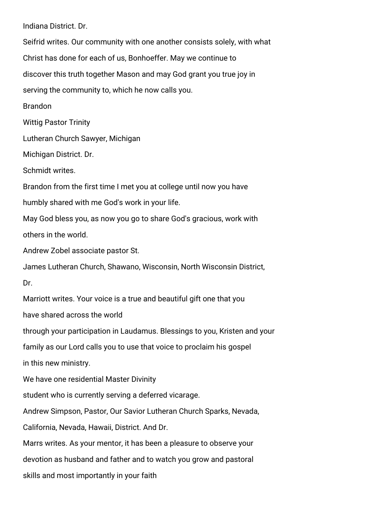Indiana District. Dr.

Seifrid writes. Our community with one another consists solely, with what Christ has done for each of us, Bonhoeffer. May we continue to discover this truth together Mason and may God grant you true joy in serving the community to, which he now calls you. Brandon Wittig Pastor Trinity Lutheran Church Sawyer, Michigan Michigan District. Dr. Schmidt writes. Brandon from the first time I met you at college until now you have humbly shared with me God's work in your life. May God bless you, as now you go to share God's gracious, work with others in the world. Andrew Zobel associate pastor St. James Lutheran Church, Shawano, Wisconsin, North Wisconsin District, Dr. Marriott writes. Your voice is a true and beautiful gift one that you have shared across the world through your participation in Laudamus. Blessings to you, Kristen and your family as our Lord calls you to use that voice to proclaim his gospel in this new ministry. We have one residential Master Divinity student who is currently serving a deferred vicarage. Andrew Simpson, Pastor, Our Savior Lutheran Church Sparks, Nevada, California, Nevada, Hawaii, District. And Dr. Marrs writes. As your mentor, it has been a pleasure to observe your devotion as husband and father and to watch you grow and pastoral skills and most importantly in your faith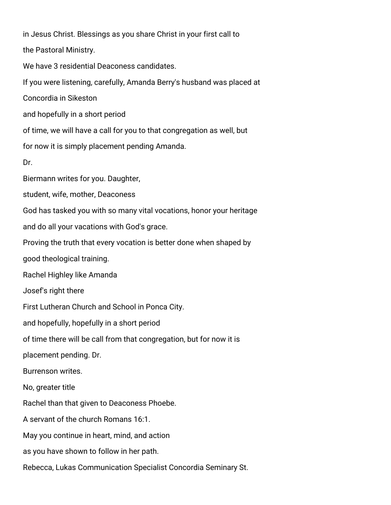in Jesus Christ. Blessings as you share Christ in your first call to the Pastoral Ministry. We have 3 residential Deaconess candidates. If you were listening, carefully, Amanda Berry's husband was placed at

Concordia in Sikeston

and hopefully in a short period

of time, we will have a call for you to that congregation as well, but

for now it is simply placement pending Amanda.

Dr.

Biermann writes for you. Daughter,

student, wife, mother, Deaconess

God has tasked you with so many vital vocations, honor your heritage

and do all your vacations with God's grace.

Proving the truth that every vocation is better done when shaped by

good theological training.

Rachel Highley like Amanda

Josef's right there

First Lutheran Church and School in Ponca City.

and hopefully, hopefully in a short period

of time there will be call from that congregation, but for now it is

placement pending. Dr.

Burrenson writes.

No, greater title

Rachel than that given to Deaconess Phoebe.

A servant of the church Romans 16:1.

May you continue in heart, mind, and action

as you have shown to follow in her path.

Rebecca, Lukas Communication Specialist Concordia Seminary St.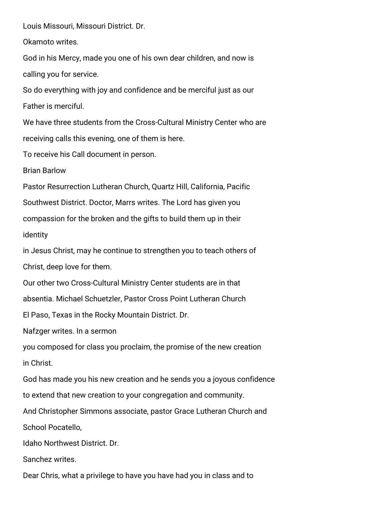Louis Missouri, Missouri District. Dr.

Okamoto writes.

God in his Mercy, made you one of his own dear children, and now is calling you for service.

So do everything with joy and confidence and be merciful just as our Father is merciful.

We have three students from the Cross-Cultural Ministry Center who are receiving calls this evening, one of them is here.

To receive his Call document in person.

Brian Barlow

Pastor Resurrection Lutheran Church, Quartz Hill, California, Pacific Southwest District. Doctor, Marrs writes. The Lord has given you compassion for the broken and the gifts to build them up in their identity

in Jesus Christ, may he continue to strengthen you to teach others of Christ, deep love for them.

Our other two Cross-Cultural Ministry Center students are in that

absentia. Michael Schuetzler, Pastor Cross Point Lutheran Church

El Paso, Texas in the Rocky Mountain District. Dr.

Nafzger writes. In a sermon

you composed for class you proclaim, the promise of the new creation in Christ.

God has made you his new creation and he sends you a joyous confidence

to extend that new creation to your congregation and community.

And Christopher Simmons associate, pastor Grace Lutheran Church and

School Pocatello,

Idaho Northwest District. Dr.

Sanchez writes.

Dear Chris, what a privilege to have you have had you in class and to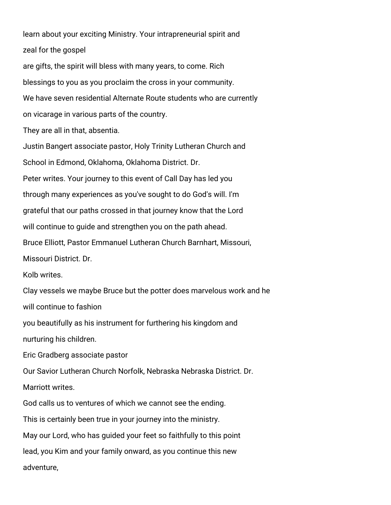learn about your exciting Ministry. Your intrapreneurial spirit and zeal for the gospel

are gifts, the spirit will bless with many years, to come. Rich blessings to you as you proclaim the cross in your community. We have seven residential Alternate Route students who are currently on vicarage in various parts of the country.

They are all in that, absentia.

Justin Bangert associate pastor, Holy Trinity Lutheran Church and School in Edmond, Oklahoma, Oklahoma District. Dr. Peter writes. Your journey to this event of Call Day has led you through many experiences as you've sought to do God's will. I'm grateful that our paths crossed in that journey know that the Lord will continue to guide and strengthen you on the path ahead. Bruce Elliott, Pastor Emmanuel Lutheran Church Barnhart, Missouri, Missouri District. Dr. Kolb writes. Clay vessels we maybe Bruce but the potter does marvelous work and he will continue to fashion you beautifully as his instrument for furthering his kingdom and nurturing his children. Eric Gradberg associate pastor Our Savior Lutheran Church Norfolk, Nebraska Nebraska District. Dr. Marriott writes. God calls us to ventures of which we cannot see the ending. This is certainly been true in your journey into the ministry. May our Lord, who has guided your feet so faithfully to this point lead, you Kim and your family onward, as you continue this new adventure,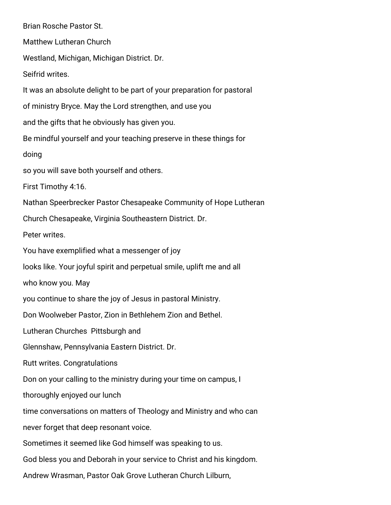Brian Rosche Pastor St. Matthew Lutheran Church Westland, Michigan, Michigan District. Dr. Seifrid writes. It was an absolute delight to be part of your preparation for pastoral of ministry Bryce. May the Lord strengthen, and use you and the gifts that he obviously has given you. Be mindful yourself and your teaching preserve in these things for doing so you will save both yourself and others. First Timothy 4:16. Nathan Speerbrecker Pastor Chesapeake Community of Hope Lutheran Church Chesapeake, Virginia Southeastern District. Dr. Peter writes. You have exemplified what a messenger of joy looks like. Your joyful spirit and perpetual smile, uplift me and all who know you. May you continue to share the joy of Jesus in pastoral Ministry. Don Woolweber Pastor, Zion in Bethlehem Zion and Bethel. Lutheran Churches Pittsburgh and Glennshaw, Pennsylvania Eastern District. Dr. Rutt writes. Congratulations Don on your calling to the ministry during your time on campus, I thoroughly enjoyed our lunch time conversations on matters of Theology and Ministry and who can never forget that deep resonant voice. Sometimes it seemed like God himself was speaking to us. God bless you and Deborah in your service to Christ and his kingdom. Andrew Wrasman, Pastor Oak Grove Lutheran Church Lilburn,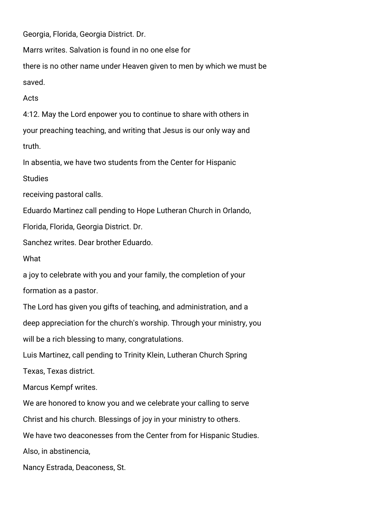Georgia, Florida, Georgia District. Dr.

Marrs writes. Salvation is found in no one else for

there is no other name under Heaven given to men by which we must be saved.

Acts

4:12. May the Lord enpower you to continue to share with others in your preaching teaching, and writing that Jesus is our only way and truth.

In absentia, we have two students from the Center for Hispanic

**Studies** 

receiving pastoral calls.

Eduardo Martinez call pending to Hope Lutheran Church in Orlando,

Florida, Florida, Georgia District. Dr.

Sanchez writes. Dear brother Eduardo.

What

a joy to celebrate with you and your family, the completion of your formation as a pastor.

The Lord has given you gifts of teaching, and administration, and a deep appreciation for the church's worship. Through your ministry, you will be a rich blessing to many, congratulations.

Luis Martinez, call pending to Trinity Klein, Lutheran Church Spring

Texas, Texas district.

Marcus Kempf writes.

We are honored to know you and we celebrate your calling to serve

Christ and his church. Blessings of joy in your ministry to others.

We have two deaconesses from the Center from for Hispanic Studies.

Also, in abstinencia,

Nancy Estrada, Deaconess, St.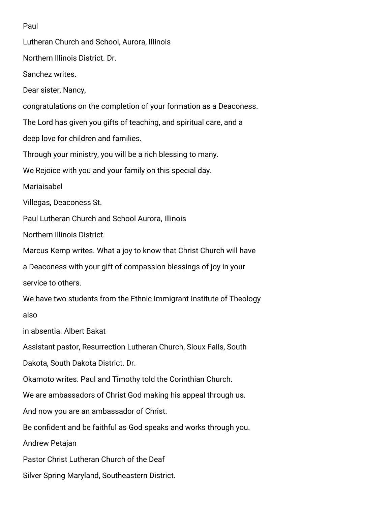## Paul

Lutheran Church and School, Aurora, Illinois Northern Illinois District. Dr. Sanchez writes. Dear sister, Nancy, congratulations on the completion of your formation as a Deaconess. The Lord has given you gifts of teaching, and spiritual care, and a deep love for children and families. Through your ministry, you will be a rich blessing to many. We Rejoice with you and your family on this special day. Mariaisabel Villegas, Deaconess St. Paul Lutheran Church and School Aurora, Illinois Northern Illinois District. Marcus Kemp writes. What a joy to know that Christ Church will have a Deaconess with your gift of compassion blessings of joy in your service to others. We have two students from the Ethnic Immigrant Institute of Theology also in absentia. Albert Bakat Assistant pastor, Resurrection Lutheran Church, Sioux Falls, South Dakota, South Dakota District. Dr. Okamoto writes. Paul and Timothy told the Corinthian Church. We are ambassadors of Christ God making his appeal through us. And now you are an ambassador of Christ. Be confident and be faithful as God speaks and works through you. Andrew Petajan Pastor Christ Lutheran Church of the Deaf

Silver Spring Maryland, Southeastern District.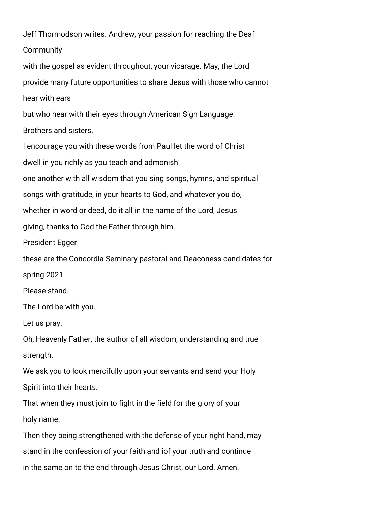Jeff Thormodson writes. Andrew, your passion for reaching the Deaf **Community** 

with the gospel as evident throughout, your vicarage. May, the Lord provide many future opportunities to share Jesus with those who cannot hear with ears

but who hear with their eyes through American Sign Language.

Brothers and sisters.

I encourage you with these words from Paul let the word of Christ

dwell in you richly as you teach and admonish

one another with all wisdom that you sing songs, hymns, and spiritual

songs with gratitude, in your hearts to God, and whatever you do,

whether in word or deed, do it all in the name of the Lord, Jesus

giving, thanks to God the Father through him.

President Egger

these are the Concordia Seminary pastoral and Deaconess candidates for spring 2021.

Please stand.

The Lord be with you.

Let us pray.

Oh, Heavenly Father, the author of all wisdom, understanding and true strength.

We ask you to look mercifully upon your servants and send your Holy Spirit into their hearts.

That when they must join to fight in the field for the glory of your holy name.

Then they being strengthened with the defense of your right hand, may stand in the confession of your faith and iof your truth and continue in the same on to the end through Jesus Christ, our Lord. Amen.